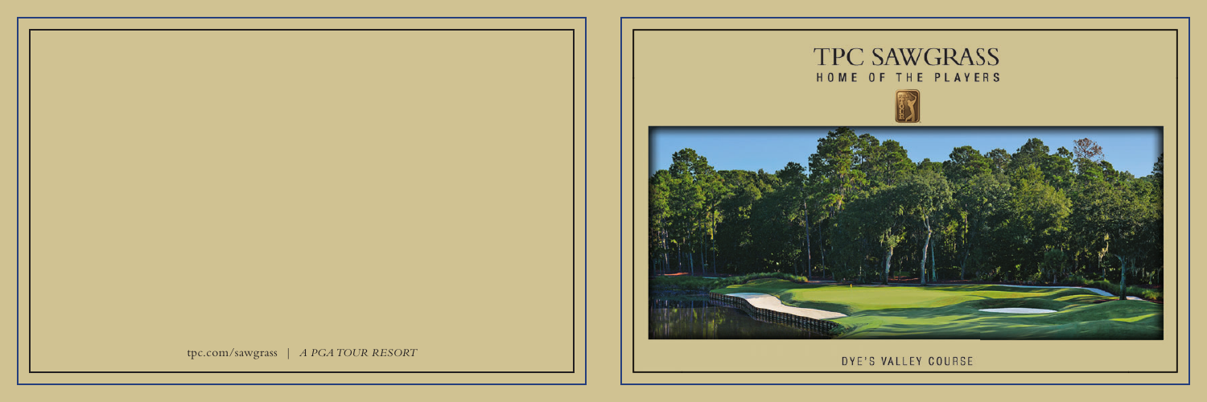



DYE'S VALLEY COURSE